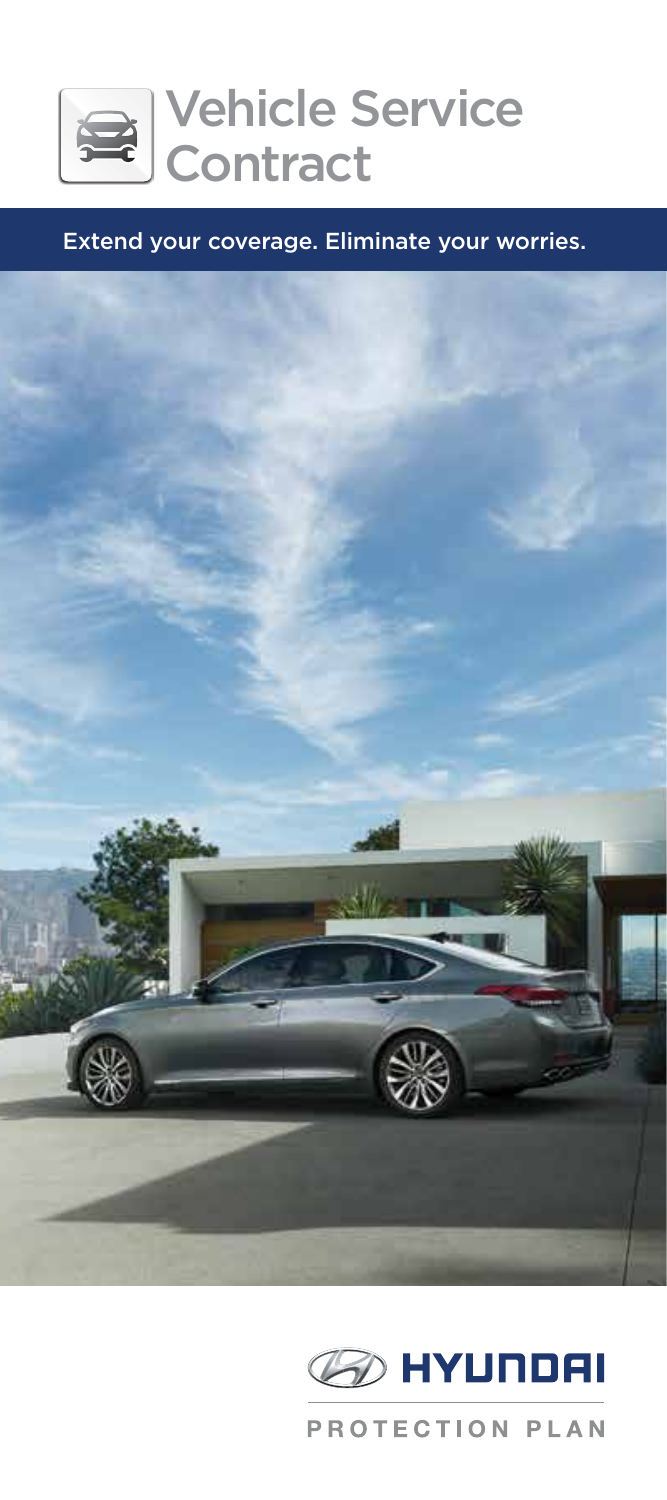

#### Extend your coverage. Eliminate your worries.



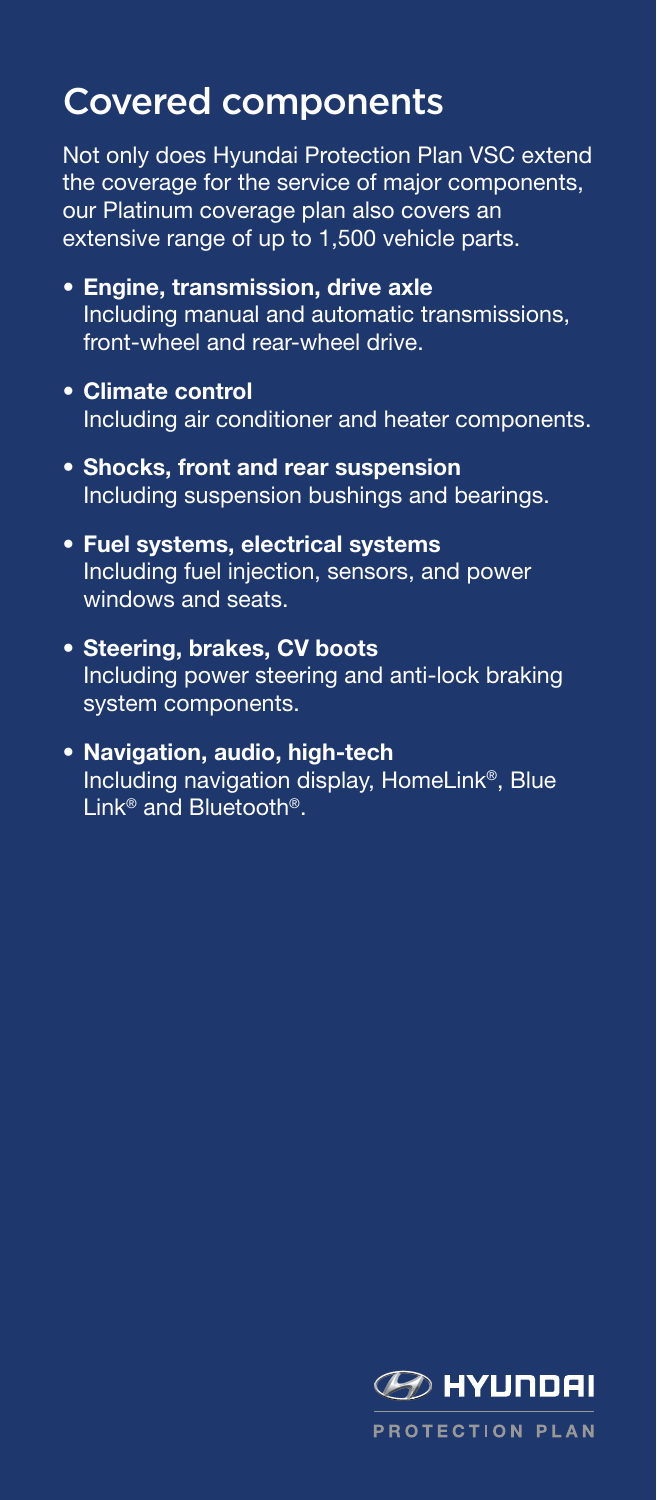# Covered components

Not only does Hyundai Protection Plan VSC extend the coverage for the service of major components, our Platinum coverage plan also covers an extensive range of up to 1,500 vehicle parts.

- Engine, transmission, drive axle Including manual and automatic transmissions, front-wheel and rear-wheel drive.
- Climate control Including air conditioner and heater components.
- Shocks, front and rear suspension Including suspension bushings and bearings.
- Fuel systems, electrical systems Including fuel injection, sensors, and power windows and seats.
- Steering, brakes, CV boots Including power steering and anti-lock braking system components.
- Navigation, audio, high-tech Including navigation display, HomeLink®, Blue Link<sup>®</sup> and Bluetooth<sup>®</sup>.

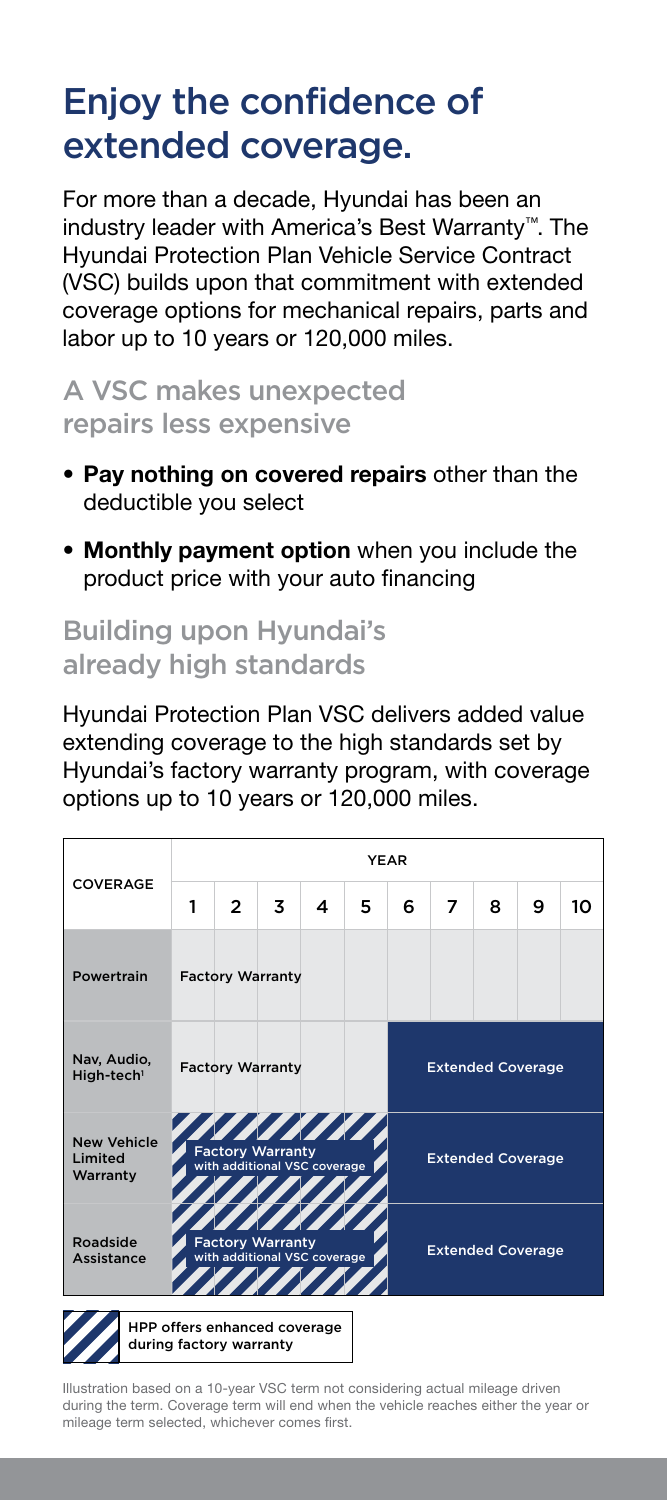# Enjoy the confidence of extended coverage.

For more than a decade, Hyundai has been an industry leader with America's Best Warranty™. The Hyundai Protection Plan Vehicle Service Contract (VSC) builds upon that commitment with extended coverage options for mechanical repairs, parts and labor up to 10 years or 120,000 miles.

### A VSC makes unexpected repairs less expensive

- Pay nothing on covered repairs other than the deductible you select
- Monthly payment option when you include the product price with your auto financing

## Building upon Hyundai's already high standards

Hyundai Protection Plan VSC delivers added value extending coverage to the high standards set by Hyundai's factory warranty program, with coverage options up to 10 years or 120,000 miles.

|                                           | <b>YEAR</b>                                             |                                                                                |   |   |   |                          |   |   |   |    |  |
|-------------------------------------------|---------------------------------------------------------|--------------------------------------------------------------------------------|---|---|---|--------------------------|---|---|---|----|--|
| COVERAGE                                  | 1                                                       | $\overline{2}$                                                                 | 3 | 4 | 5 | 6                        | 7 | 8 | 9 | 10 |  |
| Powertrain                                |                                                         | <b>Factory Warranty</b>                                                        |   |   |   |                          |   |   |   |    |  |
| Nav, Audio,<br>High-tech <sup>1</sup>     |                                                         | <b>Factory Warranty</b>                                                        |   |   |   | <b>Extended Coverage</b> |   |   |   |    |  |
| <b>New Vehicle</b><br>Limited<br>Warranty |                                                         | Z Z Z Z Z Z Z Z Z Z<br><b>Factory Warranty</b><br>with additional VSC coverage |   |   |   | <b>Extended Coverage</b> |   |   |   |    |  |
| Roadside<br>Assistance                    |                                                         | <b>Factory Warranty</b><br>with additional VSC coverage                        |   |   |   | <b>Extended Coverage</b> |   |   |   |    |  |
|                                           | HPP offers enhanced coverage<br>during factory warranty |                                                                                |   |   |   |                          |   |   |   |    |  |

Illustration based on a 10-year VSC term not considering actual mileage driven during the term. Coverage term will end when the vehicle reaches either the year or mileage term selected, whichever comes first.

I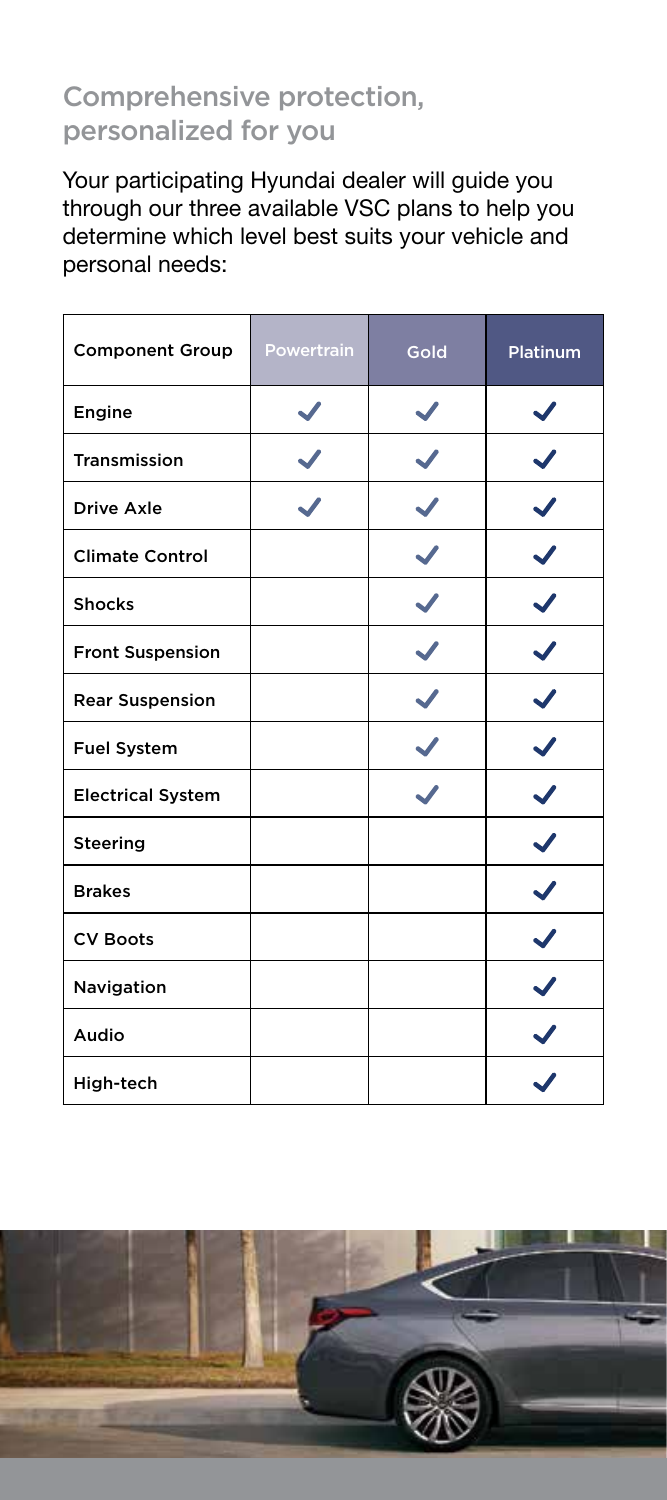# Comprehensive protection, personalized for you

Your participating Hyundai dealer will guide you through our three available VSC plans to help you determine which level best suits your vehicle and personal needs:

| <b>Component Group</b>   | Powertrain | Gold | Platinum     |
|--------------------------|------------|------|--------------|
| Engine                   |            |      |              |
| Transmission             |            |      |              |
| Drive Axle               |            |      |              |
| <b>Climate Control</b>   |            |      |              |
| <b>Shocks</b>            |            |      |              |
| <b>Front Suspension</b>  |            |      |              |
| <b>Rear Suspension</b>   |            |      |              |
| <b>Fuel System</b>       |            |      |              |
| <b>Electrical System</b> |            |      |              |
| Steering                 |            |      |              |
| <b>Brakes</b>            |            |      | $\checkmark$ |
| <b>CV Boots</b>          |            |      |              |
| Navigation               |            |      |              |
| Audio                    |            |      |              |
| High-tech                |            |      |              |

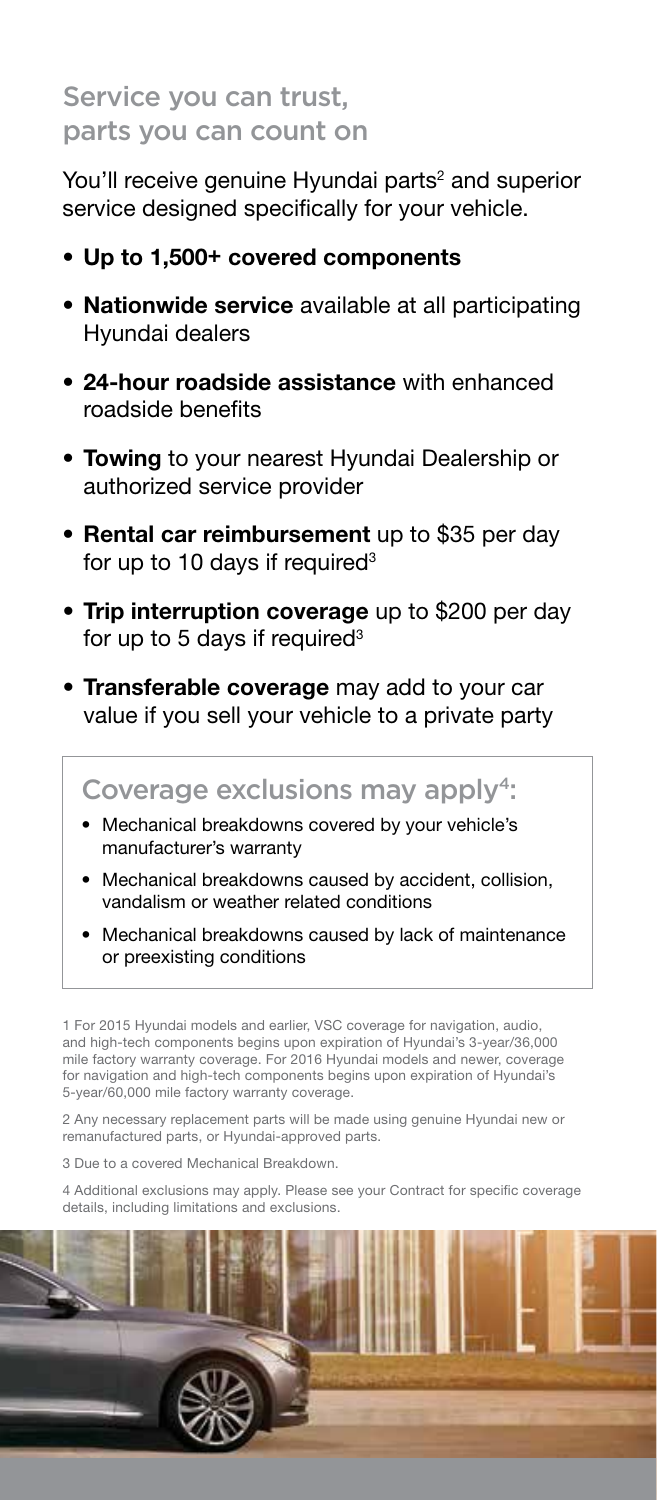# Service you can trust, parts you can count on

You'll receive genuine Hyundai parts<sup>2</sup> and superior service designed specifically for your vehicle.

- Up to 1,500+ covered components
- Nationwide service available at all participating Hyundai dealers
- 24-hour roadside assistance with enhanced roadside benefits
- Towing to your nearest Hyundai Dealership or authorized service provider
- **Rental car reimbursement** up to \$35 per day for up to 10 days if required $3$
- Trip interruption coverage up to \$200 per day for up to 5 days if required $3$
- Transferable coverage may add to your car value if you sell your vehicle to a private party

#### Coverage exclusions may apply<sup>4</sup>:

- Mechanical breakdowns covered by your vehicle's manufacturer's warranty
- Mechanical breakdowns caused by accident, collision, vandalism or weather related conditions
- Mechanical breakdowns caused by lack of maintenance or preexisting conditions

1 For 2015 Hyundai models and earlier, VSC coverage for navigation, audio, and high-tech components begins upon expiration of Hyundai's 3-year/36,000 mile factory warranty coverage. For 2016 Hyundai models and newer, coverage for navigation and high-tech components begins upon expiration of Hyundai's 5-year/60,000 mile factory warranty coverage.

2 Any necessary replacement parts will be made using genuine Hyundai new or remanufactured parts, or Hyundai-approved parts.

3 Due to a covered Mechanical Breakdown.

4 Additional exclusions may apply. Please see your Contract for specific coverage details, including limitations and exclusions.